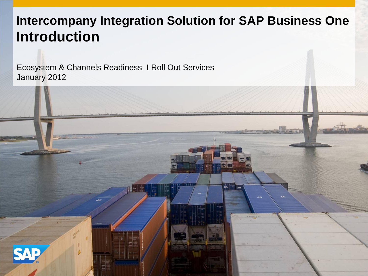# **Intercompany Integration Solution for SAP Business One Introduction**

H

AP

AS.

Ecosystem & Channels Readiness I Roll Out Services January 2012

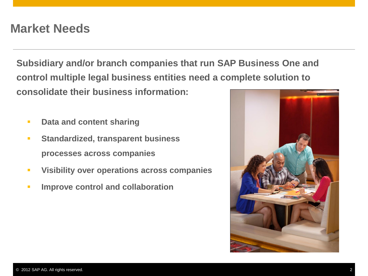# **Market Needs**

**Subsidiary and/or branch companies that run SAP Business One and control multiple legal business entities need a complete solution to consolidate their business information:**

- **Pata and content sharing**
- **Standardized, transparent business processes across companies**
- **Visibility over operations across companies**
- **IMPROVE CONTROL AND COLLADORATION**

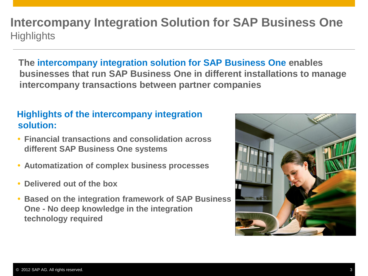# **Intercompany Integration Solution for SAP Business One Highlights**

**The intercompany integration solution for SAP Business One enables businesses that run SAP Business One in different installations to manage intercompany transactions between partner companies**

#### **Highlights of the intercompany integration solution:**

- **Financial transactions and consolidation across different SAP Business One systems**
- **Automatization of complex business processes**
- **Delivered out of the box**
- **Based on the integration framework of SAP Business One - No deep knowledge in the integration technology required**

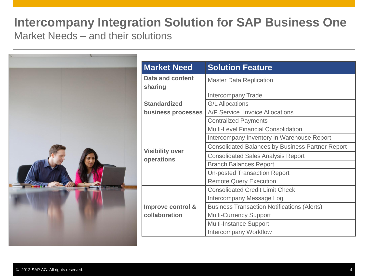### **Intercompany Integration Solution for SAP Business One**  Market Needs – and their solutions

| <b>Market Need</b>                   | <b>Solution Feature</b>                                 |
|--------------------------------------|---------------------------------------------------------|
| Data and content<br>sharing          | <b>Master Data Replication</b>                          |
|                                      | <b>Intercompany Trade</b>                               |
| <b>Standardized</b>                  | <b>G/L Allocations</b>                                  |
| business processes                   | A/P Service Invoice Allocations                         |
|                                      | <b>Centralized Payments</b>                             |
| <b>Visibility over</b><br>operations | <b>Multi-Level Financial Consolidation</b>              |
|                                      | Intercompany Inventory in Warehouse Report              |
|                                      | <b>Consolidated Balances by Business Partner Report</b> |
|                                      | <b>Consolidated Sales Analysis Report</b>               |
|                                      | <b>Branch Balances Report</b>                           |
|                                      | <b>Un-posted Transaction Report</b>                     |
|                                      | <b>Remote Query Execution</b>                           |
| Improve control &                    | <b>Consolidated Credit Limit Check</b>                  |
|                                      | Intercompany Message Log                                |
|                                      | <b>Business Transaction Notifications (Alerts)</b>      |
| collaboration                        | <b>Multi-Currency Support</b>                           |
|                                      | <b>Multi-Instance Support</b>                           |
|                                      | <b>Intercompany Workflow</b>                            |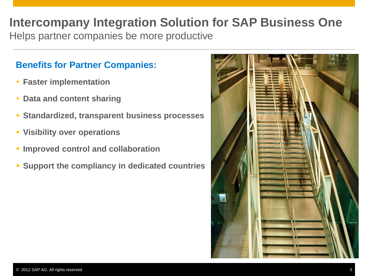# **Intercompany Integration Solution for SAP Business One**

Helps partner companies be more productive

#### **Benefits for Partner Companies:**

- **Faster implementation**
- **Data and content sharing**
- **Standardized, transparent business processes**
- **Visibility over operations**
- **Improved control and collaboration**
- **Support the compliancy in dedicated countries**